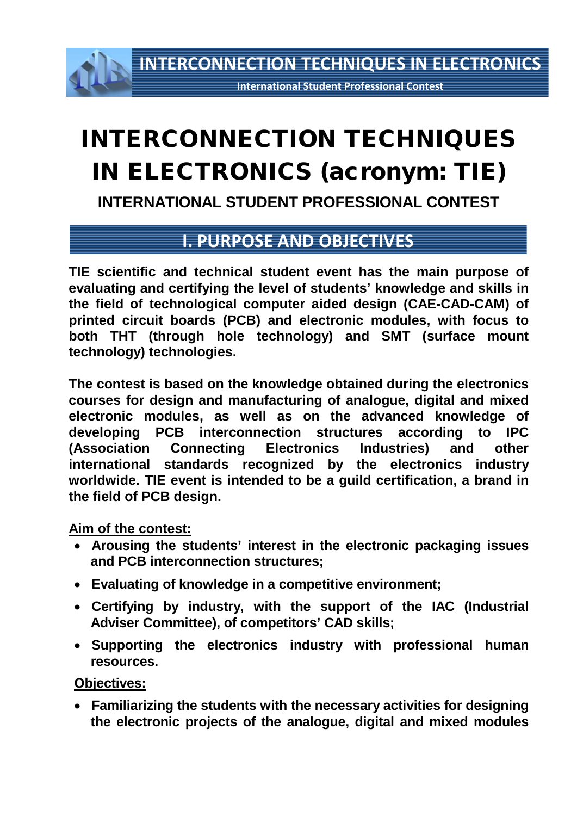**INTERCONNECTION TECHNIQUES IN ELECTRONICS**

**International Student Professional Contest**

# INTERCONNECTION TECHNIQUES IN ELECTRONICS (acronym: TIE)

**INTERNATIONAL STUDENT PROFESSIONAL CONTEST**

### **I. PURPOSE AND OBJECTIVES**

**TIE scientific and technical student event has the main purpose of evaluating and certifying the level of students' knowledge and skills in the field of technological computer aided design (CAE-CAD-CAM) of printed circuit boards (PCB) and electronic modules, with focus to both THT (through hole technology) and SMT (surface mount technology) technologies.** 

**The contest is based on the knowledge obtained during the electronics courses for design and manufacturing of analogue, digital and mixed electronic modules, as well as on the advanced knowledge of developing PCB interconnection structures according to IPC [\(Association Connecting Electronics Industries\)](http://www.google.ro/url?sa=t&rct=j&q=ipc&source=web&cd=3&ved=0CD4QFjAC&url=http%3A%2F%2Fwww.ipc.org%2FDefault.aspx&ei=ijHnTvzyLcTm-gbljqHMCg&usg=AFQjCNFAWRRikf9hQZTWSRLzM0VR0Aoxyw) and other international standards recognized by the electronics industry worldwide. TIE event is intended to be a guild certification, a brand in the field of PCB design.**

#### **Aim of the contest:**

- **Arousing the students' interest in the electronic packaging issues and PCB interconnection structures;**
- **Evaluating of knowledge in a competitive environment;**
- **Certifying by industry, with the support of the IAC (Industrial Adviser Committee), of competitors' CAD skills;**
- **Supporting the electronics industry with professional human resources.**

#### **Objectives:**

• **Familiarizing the students with the necessary activities for designing the electronic projects of the analogue, digital and mixed modules**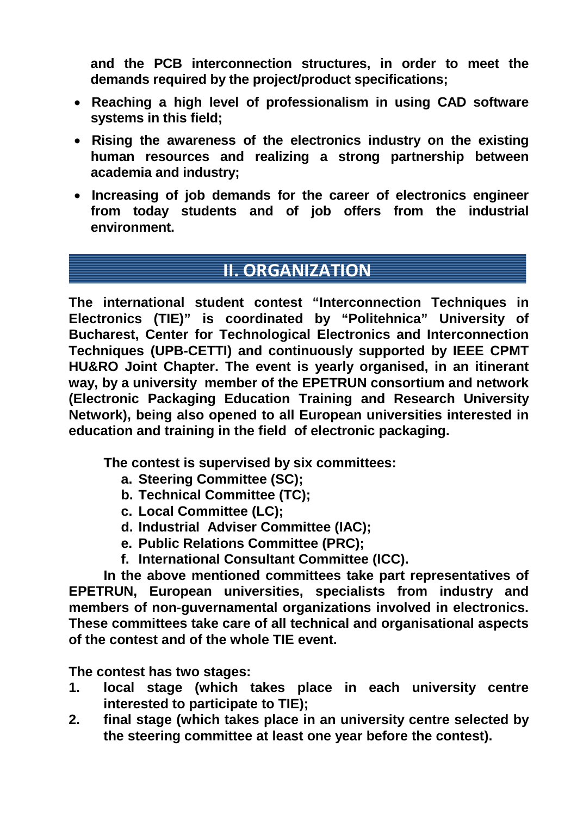**and the PCB interconnection structures, in order to meet the demands required by the project/product specifications;**

- **Reaching a high level of professionalism in using CAD software systems in this field;**
- **Rising the awareness of the electronics industry on the existing human resources and realizing a strong partnership between academia and industry;**
- **Increasing of job demands for the career of electronics engineer from today students and of job offers from the industrial environment.**

# **II. ORGANIZATION**

**The international student contest "Interconnection Techniques in Electronics (TIE)" is coordinated by "Politehnica" University of Bucharest, Center for Technological Electronics and Interconnection Techniques (UPB-CETTI) and continuously supported by IEEE CPMT HU&RO Joint Chapter. The event is yearly organised, in an itinerant way, by a university member of the EPETRUN consortium and network (Electronic Packaging Education Training and Research University Network), being also opened to all European universities interested in education and training in the field of electronic packaging.** 

**The contest is supervised by six committees:**

- **a. Steering Committee (SC);**
- **b. Technical Committee (TC);**
- **c. Local Committee (LC);**
- **d. Industrial Adviser Committee (IAC);**
- **e. Public Relations Committee (PRC);**
- **f. International Consultant Committee (ICC).**

**In the above mentioned committees take part representatives of EPETRUN, European universities, specialists from industry and members of non-guvernamental organizations involved in electronics. These committees take care of all technical and organisational aspects of the contest and of the whole TIE event.** 

**The contest has two stages:** 

- **1. local stage (which takes place in each university centre interested to participate to TIE);**
- **2. final stage (which takes place in an university centre selected by the steering committee at least one year before the contest).**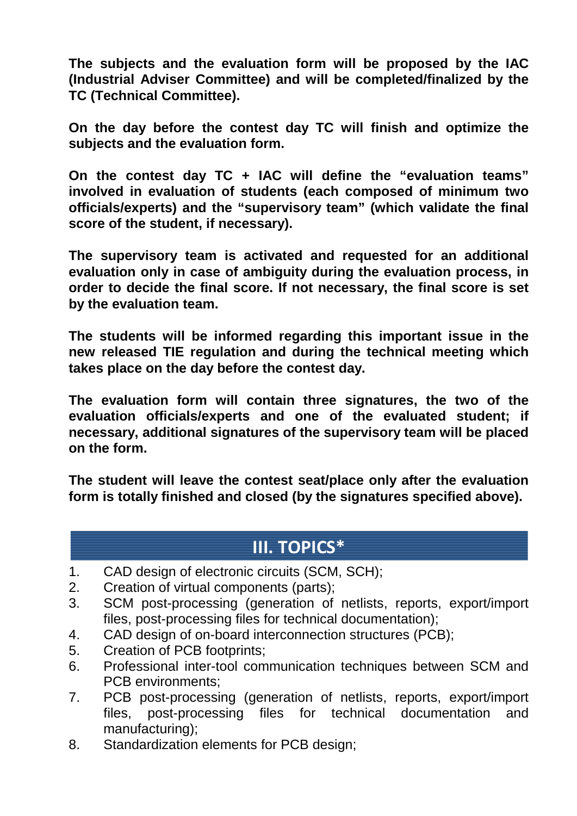**The subjects and the evaluation form will be proposed by the IAC (Industrial Adviser Committee) and will be completed/finalized by the TC (Technical Committee).**

**On the day before the contest day TC will finish and optimize the subjects and the evaluation form.**

**On the contest day TC + IAC will define the "evaluation teams" involved in evaluation of students (each composed of minimum two officials/experts) and the "supervisory team" (which validate the final score of the student, if necessary).**

**The supervisory team is activated and requested for an additional evaluation only in case of ambiguity during the evaluation process, in order to decide the final score. If not necessary, the final score is set by the evaluation team.**

**The students will be informed regarding this important issue in the new released TIE regulation and during the technical meeting which takes place on the day before the contest day.**

**The evaluation form will contain three signatures, the two of the evaluation officials/experts and one of the evaluated student; if necessary, additional signatures of the supervisory team will be placed on the form.**

**The student will leave the contest seat/place only after the evaluation form is totally finished and closed (by the signatures specified above).** 

## **III. TOPICS\***

- 1. CAD design of electronic circuits (SCM, SCH);
- 2. Creation of virtual components (parts);
- 3. SCM post-processing (generation of netlists, reports, export/import files, post-processing files for technical documentation);
- 4. CAD design of on-board interconnection structures (PCB);
- 5. Creation of PCB footprints;
- 6. Professional inter-tool communication techniques between SCM and PCB environments;
- 7. PCB post-processing (generation of netlists, reports, export/import files, post-processing files for technical documentation and manufacturing);
- 8. Standardization elements for PCB design;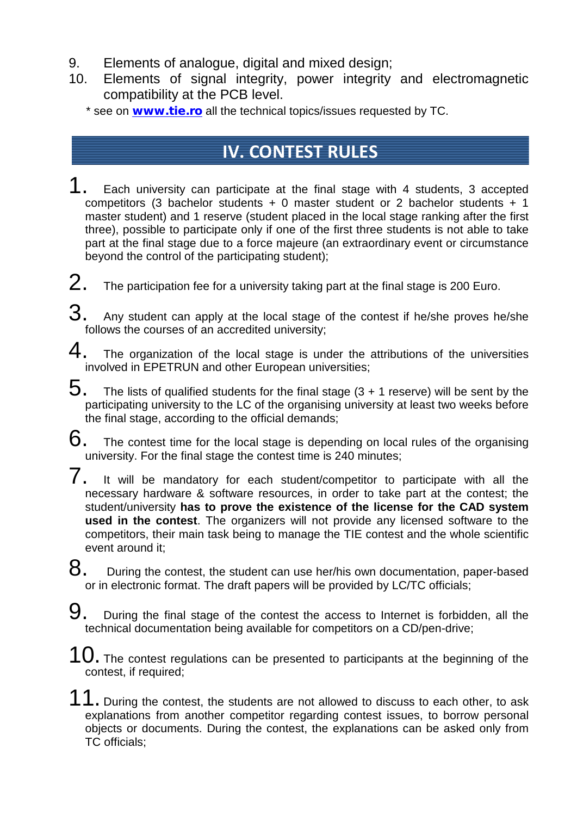- 9. Elements of analogue, digital and mixed design;
- 10. Elements of signal integrity, power integrity and electromagnetic compatibility at the PCB level.
	- \* see on **[www.tie.ro](http://www.tie.ro/)** all the technical topics/issues requested by TC.

# **IV. CONTEST RULES**

- 1. Each university can participate at the final stage with 4 students, 3 accepted competitors (3 bachelor students + 0 master student or 2 bachelor students + 1 master student) and 1 reserve (student placed in the local stage ranking after the first three), possible to participate only if one of the first three students is not able to take part at the final stage due to a force majeure (an extraordinary event or circumstance beyond the control of the participating student);
- $2.$  The participation fee for a university taking part at the final stage is 200 Euro.
- $3.$  Any student can apply at the local stage of the contest if he/she proves he/she follows the courses of an accredited university;
- $4.$  The organization of the local stage is under the attributions of the universities involved in EPETRUN and other European universities;
- $5.$  The lists of qualified students for the final stage (3 + 1 reserve) will be sent by the participating university to the LC of the organising university at least two weeks before the final stage, according to the official demands;
- $6.$  The contest time for the local stage is depending on local rules of the organising university. For the final stage the contest time is 240 minutes;
- $7.$  It will be mandatory for each student/competitor to participate with all the necessary hardware & software resources, in order to take part at the contest; the student/university **has to prove the existence of the license for the CAD system used in the contest**. The organizers will not provide any licensed software to the competitors, their main task being to manage the TIE contest and the whole scientific event around it;
- $8.$  During the contest, the student can use her/his own documentation, paper-based or in electronic format. The draft papers will be provided by LC/TC officials;
- 9. During the final stage of the contest the access to Internet is forbidden, all the technical documentation being available for competitors on a CD/pen-drive;
- $10.$  The contest regulations can be presented to participants at the beginning of the contest, if required;
- 11. During the contest, the students are not allowed to discuss to each other, to ask explanations from another competitor regarding contest issues, to borrow personal objects or documents. During the contest, the explanations can be asked only from TC officials;